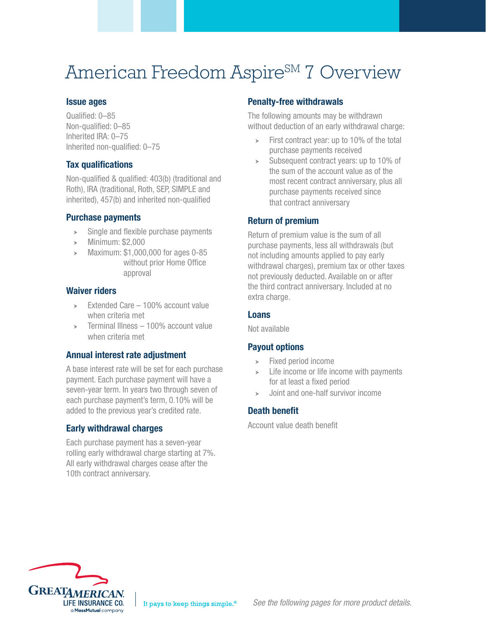# American Freedom Aspire<sup>SM</sup> 7 Overview

## Issue ages

Qualified: 0–85 Non-qualified: 0–85 Inherited IRA: 0–75 Inherited non-qualified: 0–75

## Tax qualifications

Non-qualified & qualified: 403(b) (traditional and Roth), IRA (traditional, Roth, SEP, SIMPLE and inherited), 457(b) and inherited non-qualified

#### Purchase payments

- $\geq$  Single and flexible purchase payments
- $\blacktriangleright$  Minimum: \$2,000
- $\blacktriangleright$  Maximum: \$1,000,000 for ages 0-85 without prior Home Office approval

#### Waiver riders

- $\geq$  Extended Care 100% account value when criteria met
- $\ge$  Terminal Illness 100% account value when criteria met

## Annual interest rate adjustment

A base interest rate will be set for each purchase payment. Each purchase payment will have a seven-year term. In years two through seven of each purchase payment's term, 0.10% will be added to the previous year's credited rate.

## Early withdrawal charges

Each purchase payment has a seven-year rolling early withdrawal charge starting at 7%. All early withdrawal charges cease after the 10th contract anniversary.

## Penalty-free withdrawals

The following amounts may be withdrawn without deduction of an early withdrawal charge:

- $\triangleright$  First contract year: up to 10% of the total purchase payments received
- $\geq$  Subsequent contract years: up to 10% of the sum of the account value as of the most recent contract anniversary, plus all purchase payments received since that contract anniversary

## Return of premium

Return of premium value is the sum of all purchase payments, less all withdrawals (but not including amounts applied to pay early withdrawal charges), premium tax or other taxes not previously deducted. Available on or after the third contract anniversary. Included at no extra charge.

#### Loans

Not available

## Payout options

- $\blacktriangleright$  Fixed period income
- $\geq$  Life income or life income with payments for at least a fixed period
- $\rightarrow$  Joint and one-half survivor income

## Death benefit

Account value death benefit

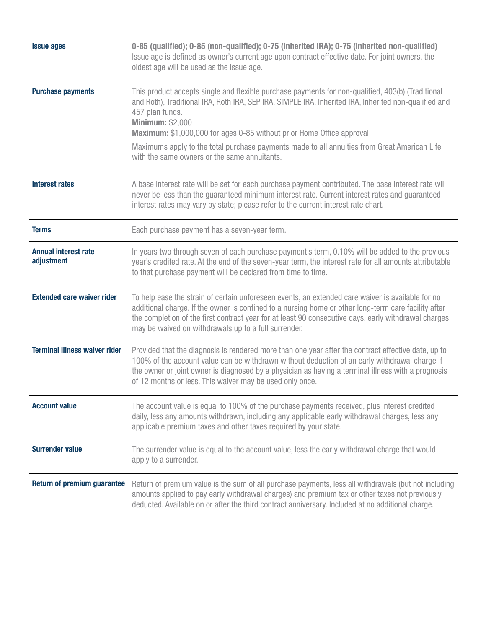| <b>Issue ages</b>                         | 0-85 (qualified); 0-85 (non-qualified); 0-75 (inherited IRA); 0-75 (inherited non-qualified)<br>Issue age is defined as owner's current age upon contract effective date. For joint owners, the<br>oldest age will be used as the issue age.                                                                                                                              |  |  |  |  |  |
|-------------------------------------------|---------------------------------------------------------------------------------------------------------------------------------------------------------------------------------------------------------------------------------------------------------------------------------------------------------------------------------------------------------------------------|--|--|--|--|--|
| <b>Purchase payments</b>                  | This product accepts single and flexible purchase payments for non-qualified, 403(b) (Traditional<br>and Roth), Traditional IRA, Roth IRA, SEP IRA, SIMPLE IRA, Inherited IRA, Inherited non-qualified and<br>457 plan funds.<br><b>Minimum: \$2,000</b><br><b>Maximum:</b> \$1,000,000 for ages 0-85 without prior Home Office approval                                  |  |  |  |  |  |
|                                           | Maximums apply to the total purchase payments made to all annuities from Great American Life<br>with the same owners or the same annuitants.                                                                                                                                                                                                                              |  |  |  |  |  |
| <b>Interest rates</b>                     | A base interest rate will be set for each purchase payment contributed. The base interest rate will<br>never be less than the guaranteed minimum interest rate. Current interest rates and guaranteed<br>interest rates may vary by state; please refer to the current interest rate chart.                                                                               |  |  |  |  |  |
| <b>Terms</b>                              | Each purchase payment has a seven-year term.                                                                                                                                                                                                                                                                                                                              |  |  |  |  |  |
| <b>Annual interest rate</b><br>adjustment | In years two through seven of each purchase payment's term, 0.10% will be added to the previous<br>year's credited rate. At the end of the seven-year term, the interest rate for all amounts attributable<br>to that purchase payment will be declared from time to time.                                                                                                |  |  |  |  |  |
| <b>Extended care waiver rider</b>         | To help ease the strain of certain unforeseen events, an extended care waiver is available for no<br>additional charge. If the owner is confined to a nursing home or other long-term care facility after<br>the completion of the first contract year for at least 90 consecutive days, early withdrawal charges<br>may be waived on withdrawals up to a full surrender. |  |  |  |  |  |
| <b>Terminal illness waiver rider</b>      | Provided that the diagnosis is rendered more than one year after the contract effective date, up to<br>100% of the account value can be withdrawn without deduction of an early withdrawal charge if<br>the owner or joint owner is diagnosed by a physician as having a terminal illness with a prognosis<br>of 12 months or less. This waiver may be used only once.    |  |  |  |  |  |
| <b>Account value</b>                      | The account value is equal to 100% of the purchase payments received, plus interest credited<br>daily, less any amounts withdrawn, including any applicable early withdrawal charges, less any<br>applicable premium taxes and other taxes required by your state.                                                                                                        |  |  |  |  |  |
| <b>Surrender value</b>                    | The surrender value is equal to the account value, less the early withdrawal charge that would<br>apply to a surrender.                                                                                                                                                                                                                                                   |  |  |  |  |  |
| <b>Return of premium guarantee</b>        | Return of premium value is the sum of all purchase payments, less all withdrawals (but not including<br>amounts applied to pay early withdrawal charges) and premium tax or other taxes not previously<br>deducted. Available on or after the third contract anniversary. Included at no additional charge.                                                               |  |  |  |  |  |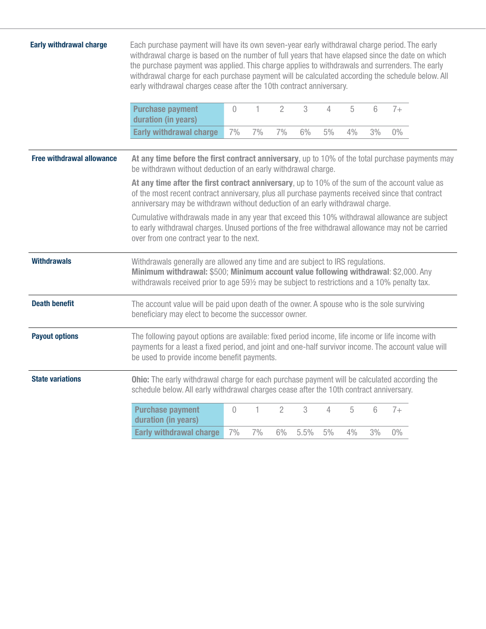| <b>Early withdrawal charge</b>   | Each purchase payment will have its own seven-year early withdrawal charge period. The early<br>withdrawal charge is based on the number of full years that have elapsed since the date on which<br>the purchase payment was applied. This charge applies to withdrawals and surrenders. The early<br>withdrawal charge for each purchase payment will be calculated according the schedule below. All<br>early withdrawal charges cease after the 10th contract anniversary. |          |    |                |      |    |    |    |       |  |
|----------------------------------|-------------------------------------------------------------------------------------------------------------------------------------------------------------------------------------------------------------------------------------------------------------------------------------------------------------------------------------------------------------------------------------------------------------------------------------------------------------------------------|----------|----|----------------|------|----|----|----|-------|--|
|                                  | <b>Purchase payment</b><br>duration (in years)                                                                                                                                                                                                                                                                                                                                                                                                                                | $\Omega$ | 1  | $\overline{2}$ | 3    | 4  | 5  | 6  | $7+$  |  |
|                                  | <b>Early withdrawal charge</b>                                                                                                                                                                                                                                                                                                                                                                                                                                                | 7%       | 7% | 7%             | 6%   | 5% | 4% | 3% | $0\%$ |  |
| <b>Free withdrawal allowance</b> | At any time before the first contract anniversary, up to 10% of the total purchase payments may<br>be withdrawn without deduction of an early withdrawal charge.                                                                                                                                                                                                                                                                                                              |          |    |                |      |    |    |    |       |  |
|                                  | At any time after the first contract anniversary, up to 10% of the sum of the account value as<br>of the most recent contract anniversary, plus all purchase payments received since that contract<br>anniversary may be withdrawn without deduction of an early withdrawal charge.                                                                                                                                                                                           |          |    |                |      |    |    |    |       |  |
|                                  | Cumulative withdrawals made in any year that exceed this 10% withdrawal allowance are subject<br>to early withdrawal charges. Unused portions of the free withdrawal allowance may not be carried<br>over from one contract year to the next.                                                                                                                                                                                                                                 |          |    |                |      |    |    |    |       |  |
| <b>Withdrawals</b>               | Withdrawals generally are allowed any time and are subject to IRS regulations.<br>Minimum withdrawal: \$500; Minimum account value following withdrawal: \$2,000. Any<br>withdrawals received prior to age 591/2 may be subject to restrictions and a 10% penalty tax.                                                                                                                                                                                                        |          |    |                |      |    |    |    |       |  |
| <b>Death benefit</b>             | The account value will be paid upon death of the owner. A spouse who is the sole surviving<br>beneficiary may elect to become the successor owner.                                                                                                                                                                                                                                                                                                                            |          |    |                |      |    |    |    |       |  |
| <b>Payout options</b>            | The following payout options are available: fixed period income, life income or life income with<br>payments for a least a fixed period, and joint and one-half survivor income. The account value will<br>be used to provide income benefit payments.                                                                                                                                                                                                                        |          |    |                |      |    |    |    |       |  |
| <b>State variations</b>          | Ohio: The early withdrawal charge for each purchase payment will be calculated according the<br>schedule below. All early withdrawal charges cease after the 10th contract anniversary.                                                                                                                                                                                                                                                                                       |          |    |                |      |    |    |    |       |  |
|                                  | <b>Purchase payment</b><br>duration (in years)                                                                                                                                                                                                                                                                                                                                                                                                                                | $\theta$ | 1. | $\overline{2}$ | 3    | 4  | 5  | 6  | $7+$  |  |
|                                  | <b>Early withdrawal charge</b>                                                                                                                                                                                                                                                                                                                                                                                                                                                | 7%       | 7% | 6%             | 5.5% | 5% | 4% | 3% | $0\%$ |  |